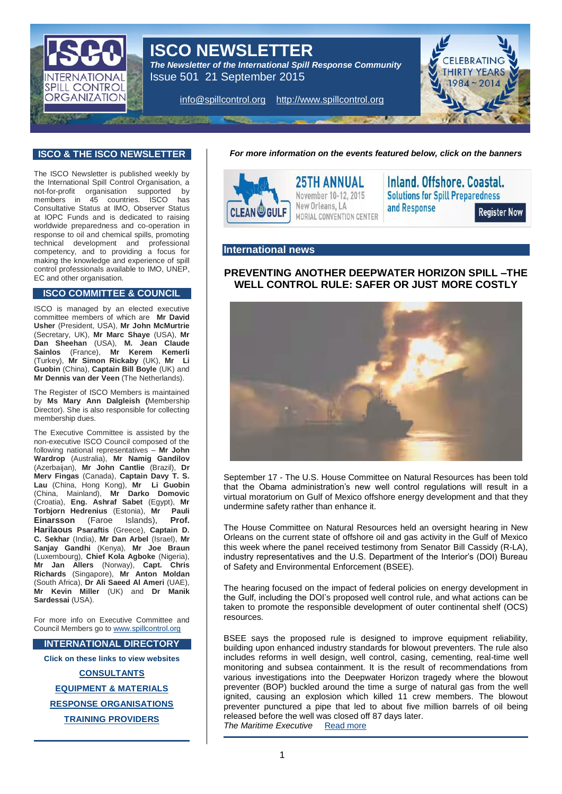

# **ISCO NEWSLETTER**

*The Newsletter of the International Spill Response Community*  Issue 501 21 September 2015

[info@spillcontrol.org](mailto:info@spillcontrol.org) [http://www.spillcontrol.org](http://www.spillcontrol.org/)



### **ISCO & THE ISCO NEWSLETTER**

The ISCO Newsletter is published weekly by the International Spill Control Organisation, a<br>not-for-profit organisation supported by not-for-profit organisation supported by members in 45 countries. ISCO has Consultative Status at IMO, Observer Status at IOPC Funds and is dedicated to raising worldwide preparedness and co-operation in response to oil and chemical spills, promoting technical development and professional competency, and to providing a focus for making the knowledge and experience of spill control professionals available to IMO, UNEP, EC and other organisation.

#### **ISCO COMMITTEE & COUNCIL**

ISCO is managed by an elected executive committee members of which are **Mr David Usher** (President, USA), **Mr John McMurtrie** (Secretary, UK), **Mr Marc Shaye** (USA), **Mr Dan Sheehan** (USA), **M. Jean Claude Sainlos** (France), **Mr Kerem Kemerli** (Turkey), **Mr Simon Rickaby** (UK), **Mr Li Guobin** (China), **Captain Bill Boyle** (UK) and **Mr Dennis van der Veen** (The Netherlands).

The Register of ISCO Members is maintained by **Ms Mary Ann Dalgleish (**Membership Director). She is also responsible for collecting membership dues.

The Executive Committee is assisted by the non-executive ISCO Council composed of the following national representatives – **Mr John Wardrop** (Australia), **Mr Namig Gandilov** (Azerbaijan), **Mr John Cantlie** (Brazil), **Dr Merv Fingas** (Canada), **Captain Davy T. S. Lau** (China, Hong Kong), **Mr Li Guobin** (China, Mainland), **Mr Darko Domovic** (Croatia), **Eng. Ashraf Sabet** (Egypt), **Mr Torbjorn Hedrenius** (Estonia), **Mr Pauli Einarsson** (Faroe Islands), **Prof. Harilaous Psaraftis** (Greece), **Captain D. C. Sekhar** (India), **Mr Dan Arbel** (Israel), **Mr Sanjay Gandhi** (Kenya), **Mr Joe Braun** (Luxembourg), **Chief Kola Agboke** (Nigeria), **Mr Jan Allers** (Norway), **Capt. Chris Richards** (Singapore), **Mr Anton Moldan** (South Africa), **Dr Ali Saeed Al Ameri** (UAE), **Mr Kevin Miller** (UK) and **Dr Manik Sardessai** (USA).

For more info on Executive Committee and Council Members go t[o www.spillcontrol.org](http://www.spillcontrol.org/)

#### **INTERNATIONAL DIRECTORY**

**Click on these links to view websites**

**[CONSULTANTS](http://www.spillcontrol.org/index.php/2013-02-05-12-36-12/consultants) [EQUIPMENT & MATERIALS](http://www.spillcontrol.org/index.php/2013-02-05-12-36-12/equipment-materials) RESPONSE [ORGANISATIONS](http://www.spillcontrol.org/index.php/2013-02-05-12-36-12/response-organizations) [TRAINING PROVIDERS](http://www.spillcontrol.org/index.php/2013-02-05-12-36-12/training-providers)**

*For more information on the events featured below, click on the banners*



### **International news**

# **PREVENTING ANOTHER DEEPWATER HORIZON SPILL –THE WELL CONTROL RULE: SAFER OR JUST MORE COSTLY**



September 17 - The U.S. House Committee on Natural Resources has been told that the Obama administration's new well control regulations will result in a virtual moratorium on Gulf of Mexico offshore energy development and that they undermine safety rather than enhance it.

The House Committee on Natural Resources held an oversight hearing in New Orleans on the current state of offshore oil and gas activity in the Gulf of Mexico this week where the panel received testimony from Senator Bill Cassidy (R-LA), industry representatives and the U.S. Department of the Interior's (DOI) Bureau of Safety and Environmental Enforcement (BSEE).

The hearing focused on the impact of federal policies on energy development in the Gulf, including the DOI's proposed well control rule, and what actions can be taken to promote the responsible development of outer continental shelf (OCS) resources.

BSEE says the proposed rule is designed to improve equipment reliability, building upon enhanced industry standards for blowout preventers. The rule also includes reforms in well design, well control, casing, cementing, real-time well monitoring and subsea containment. It is the result of recommendations from various investigations into the Deepwater Horizon tragedy where the blowout preventer (BOP) buckled around the time a surge of natural gas from the well ignited, causing an explosion which killed 11 crew members. The blowout preventer punctured a pipe that led to about five million barrels of oil being released before the well was closed off 87 days later. **The Maritime Executive** [Read more](http://maritime-executive.com/article/the-well-control-rule-safer-or-just-more-costly)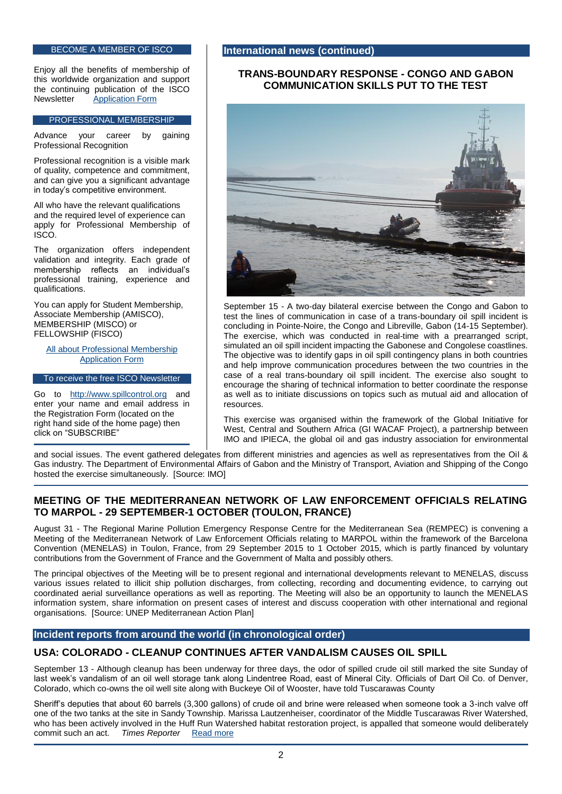#### BECOME A MEMBER OF ISCO

Enjoy all the benefits of membership of this worldwide organization and support the continuing publication of the ISCO<br>Newsletter Application Form **[Application Form](http://www.spillcontrol.org/index.php/2013-02-05-10-50-47/membership-application)** 

#### PROFESSIONAL MEMBERSHIP

Advance your career by gaining Professional Recognition

Professional recognition is a visible mark of quality, competence and commitment, and can give you a significant advantage in today's competitive environment.

All who have the relevant qualifications and the required level of experience can apply for Professional Membership of ISCO.

The organization offers independent validation and integrity. Each grade of membership reflects an individual's professional training, experience and qualifications.

You can apply for Student Membership, Associate Membership (AMISCO), MEMBERSHIP (MISCO) or FELLOWSHIP (FISCO)

[All about Professional Membership](http://www.spillcontrol.org/index.php/2013-02-05-10-50-47/professional/about-professional-membership) [Application Form](http://www.spillcontrol.org/index.php/2013-02-05-10-50-47/professional/application-form)

To receive the free ISCO Newsletter

Go to [http://www.spillcontrol.org](http://www.spillcontrol.org/) and enter your name and email address in the Registration Form (located on the right hand side of the home page) then click on "SUBSCRIBE"

#### **International news (continued)**

#### **TRANS-BOUNDARY RESPONSE - CONGO AND GABON COMMUNICATION SKILLS PUT TO THE TEST**



September 15 - A two-day bilateral exercise between the Congo and Gabon to test the lines of communication in case of a trans-boundary oil spill incident is concluding in Pointe-Noire, the Congo and Libreville, Gabon (14-15 September). The exercise, which was conducted in real-time with a prearranged script, simulated an oil spill incident impacting the Gabonese and Congolese coastlines. The objective was to identify gaps in oil spill contingency plans in both countries and help improve communication procedures between the two countries in the case of a real trans-boundary oil spill incident. The exercise also sought to encourage the sharing of technical information to better coordinate the response as well as to initiate discussions on topics such as mutual aid and allocation of resources.

This exercise was organised within the framework of the Global Initiative for West, Central and Southern Africa (GI WACAF Project), a partnership between IMO and IPIECA, the global oil and gas industry association for environmental

and social issues. The event gathered delegates from different ministries and agencies as well as representatives from the Oil & Gas industry. The Department of Environmental Affairs of Gabon and the Ministry of Transport, Aviation and Shipping of the Congo hosted the exercise simultaneously. [Source: IMO]

# **MEETING OF THE MEDITERRANEAN NETWORK OF LAW ENFORCEMENT OFFICIALS RELATING TO MARPOL - 29 SEPTEMBER-1 OCTOBER (TOULON, FRANCE)**

August 31 - The Regional Marine Pollution Emergency Response Centre for the Mediterranean Sea (REMPEC) is convening a Meeting of the Mediterranean Network of Law Enforcement Officials relating to MARPOL within the framework of the Barcelona Convention (MENELAS) in Toulon, France, from 29 September 2015 to 1 October 2015, which is partly financed by voluntary contributions from the Government of France and the Government of Malta and possibly others.

The principal objectives of the Meeting will be to present regional and international developments relevant to MENELAS, discuss various issues related to illicit ship pollution discharges, from collecting, recording and documenting evidence, to carrying out coordinated aerial surveillance operations as well as reporting. The Meeting will also be an opportunity to launch the MENELAS information system, share information on present cases of interest and discuss cooperation with other international and regional organisations. [Source: UNEP Mediterranean Action Plan]

### **Incident reports from around the world (in chronological order)**

### **USA: COLORADO - CLEANUP CONTINUES AFTER VANDALISM CAUSES OIL SPILL**

September 13 - Although cleanup has been underway for three days, the odor of spilled crude oil still marked the site Sunday of last week's vandalism of an oil well storage tank along Lindentree Road, east of Mineral City. Officials of Dart Oil Co. of Denver, Colorado, which co-owns the oil well site along with Buckeye Oil of Wooster, have told Tuscarawas County

Sheriff's deputies that about 60 barrels (3,300 gallons) of crude oil and brine were released when someone took a 3-inch valve off one of the two tanks at the site in Sandy Township. Marissa Lautzenheiser, coordinator of the Middle Tuscarawas River Watershed, who has been actively involved in the Huff Run Watershed habitat restoration project, is appalled that someone would deliberately commit such an act. *Times Reporter* [Read more](http://www.timesreporter.com/article/20150913/NEWS/150919705)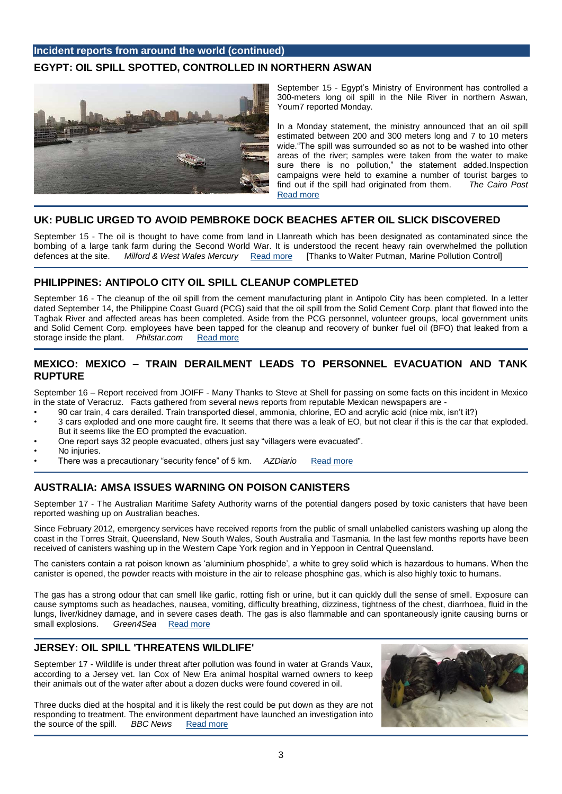# **Incident reports from around the world (continued) EGYPT: OIL SPILL SPOTTED, CONTROLLED IN NORTHERN ASWAN**



September 15 - Egypt's Ministry of Environment has controlled a 300-meters long oil spill in the Nile River in northern Aswan, Youm7 reported Monday.

In a Monday statement, the ministry announced that an oil spill estimated between 200 and 300 meters long and 7 to 10 meters wide. "The spill was surrounded so as not to be washed into other areas of the river; samples were taken from the water to make sure there is no pollution," the statement added.Inspection campaigns were held to examine a number of tourist barges to find out if the spill had originated from them. *The Cairo Post*  [Read more](http://www.thecairopost.com/news/167381/inside_egypt/oil-spill-spotted-controlled-in-northern-aswan)

### **UK: PUBLIC URGED TO AVOID PEMBROKE DOCK BEACHES AFTER OIL SLICK DISCOVERED**

September 15 - The oil is thought to have come from land in Llanreath which has been designated as contaminated since the bombing of a large tank farm during the Second World War. It is understood the recent heavy rain overwhelmed the pollution defences at the site. *Milford & West Wales Mercury* [Read more](http://m.milfordmercury.co.uk/news/13720193.UPDATED__Public_urged_to_avoid_Pembroke_Dock_beaches_after_oil_slick_discovered/) [Thanks to Walter Putman, Marine Pollution Control]

# **PHILIPPINES: ANTIPOLO CITY OIL SPILL CLEANUP COMPLETED**

September 16 - The cleanup of the oil spill from the cement manufacturing plant in Antipolo City has been completed. In a letter dated September 14, the Philippine Coast Guard (PCG) said that the oil spill from the Solid Cement Corp. plant that flowed into the Tagbak River and affected areas has been completed. Aside from the PCG personnel, volunteer groups, local government units and Solid Cement Corp. employees have been tapped for the cleanup and recovery of bunker fuel oil (BFO) that leaked from a storage inside the plant. *Philstar.com* [Read more](http://www.philstar.com/nation/2015/09/16/1500481/antipolo-city-oil-spill-cleanup-completed)

# **MEXICO: MEXICO – TRAIN DERAILMENT LEADS TO PERSONNEL EVACUATION AND TANK RUPTURE**

September 16 – Report received from JOIFF - Many Thanks to Steve at Shell for passing on some facts on this incident in Mexico in the state of Veracruz. Facts gathered from several news reports from reputable Mexican newspapers are -

- 90 car train, 4 cars derailed. Train transported diesel, ammonia, chlorine, EO and acrylic acid (nice mix, isn't it?)
- 3 cars exploded and one more caught fire. It seems that there was a leak of EO, but not clear if this is the car that exploded. But it seems like the EO prompted the evacuation.
- One report says 32 people evacuated, others just say "villagers were evacuated".
- No injuries.
- There was a precautionary "security fence" of 5 km. *AZDiario* [Read more](http://azdiario.mx/2015/09/10/descarrila-y-explota-tren-en-jose-azueta/)

# **AUSTRALIA: AMSA ISSUES WARNING ON POISON CANISTERS**

September 17 - The Australian Maritime Safety Authority warns of the potential dangers posed by toxic canisters that have been reported washing up on Australian beaches.

Since February 2012, emergency services have received reports from the public of small unlabelled canisters washing up along the coast in the Torres Strait, Queensland, New South Wales, South Australia and Tasmania. In the last few months reports have been received of canisters washing up in the Western Cape York region and in Yeppoon in Central Queensland.

The canisters contain a rat poison known as 'aluminium phosphide', a white to grey solid which is hazardous to humans. When the canister is opened, the powder reacts with moisture in the air to release phosphine gas, which is also highly toxic to humans.

The gas has a strong odour that can smell like garlic, rotting fish or urine, but it can quickly dull the sense of smell. Exposure can cause symptoms such as headaches, nausea, vomiting, difficulty breathing, dizziness, tightness of the chest, diarrhoea, fluid in the lungs, liver/kidney damage, and in severe cases death. The gas is also flammable and can spontaneously ignite causing burns or small explosions. Green4Sea Read more

# **JERSEY: OIL SPILL 'THREATENS WILDLIFE'**

September 17 - Wildlife is under threat after pollution was found in water at Grands Vaux, according to a Jersey vet. Ian Cox of New Era animal hospital warned owners to keep their animals out of the water after about a dozen ducks were found covered in oil.

Three ducks died at the hospital and it is likely the rest could be put down as they are not responding to treatment. The environment department have launched an investigation into the source of the spill. *BBC News* [Read more](http://www.bbc.co.uk/news/world-europe-jersey-34283196)

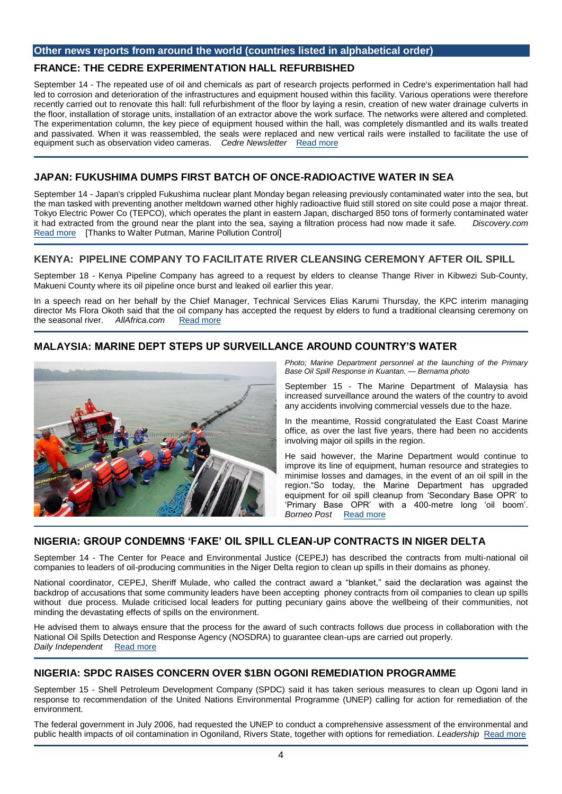#### **Other news reports from around the world (countries listed in alphabetical order)**

# **FRANCE: THE CEDRE EXPERIMENTATION HALL REFURBISHED**

September 14 - The repeated use of oil and chemicals as part of research projects performed in Cedre's experimentation hall had led to corrosion and deterioration of the infrastructures and equipment housed within this facility. Various operations were therefore recently carried out to renovate this hall: full refurbishment of the floor by laying a resin, creation of new water drainage culverts in the floor, installation of storage units, installation of an extractor above the work surface. The networks were altered and completed. The experimentation column, the key piece of equipment housed within the hall, was completely dismantled and its walls treated and passivated. When it was reassembled, the seals were replaced and new vertical rails were installed to facilitate the use of equipment such as observation video cameras. *Cedre Newsletter* [Read more](http://wwz.cedre.fr/en/Our-resources/Documentation/Cedre-Newsletter/2015/n-237-July-August)

# **JAPAN: FUKUSHIMA DUMPS FIRST BATCH OF ONCE-RADIOACTIVE WATER IN SEA**

September 14 - Japan's crippled Fukushima nuclear plant Monday began releasing previously contaminated water into the sea, but the man tasked with preventing another meltdown warned other highly radioactive fluid still stored on site could pose a major threat. Tokyo Electric Power Co (TEPCO), which operates the plant in eastern Japan, discharged 850 tons of formerly contaminated water it had extracted from the ground near the plant into the sea, saying a filtration process had now made it safe. *Discovery.com*  [Read more](http://news.discovery.com/earth/fukushima-dumps-first-batch-of-once-radioactive-water-in-sea-150914.htm) [Thanks to Walter Putman, Marine Pollution Control]

# **KENYA: PIPELINE COMPANY TO FACILITATE RIVER CLEANSING CEREMONY AFTER OIL SPILL**

September 18 - Kenya Pipeline Company has agreed to a request by elders to cleanse Thange River in Kibwezi Sub-County, Makueni County where its oil pipeline once burst and leaked oil earlier this year.

In a speech read on her behalf by the Chief Manager, Technical Services Elias Karumi Thursday, the KPC interim managing director Ms Flora Okoth said that the oil company has accepted the request by elders to fund a traditional cleansing ceremony on the seasonal river. Allafrica.com Read more the seasonal river. *AllAfrica.com* [Read more](http://allafrica.com/stories/201509180172.html)

# **MALAYSIA: MARINE DEPT STEPS UP SURVEILLANCE AROUND COUNTRY'S WATER**



*Photo; Marine Department personnel at the launching of the Primary Base Oil Spill Response in Kuantan. — Bernama photo*

September 15 - The Marine Department of Malaysia has increased surveillance around the waters of the country to avoid any accidents involving commercial vessels due to the haze.

In the meantime, Rossid congratulated the East Coast Marine office, as over the last five years, there had been no accidents involving major oil spills in the region.

He said however, the Marine Department would continue to improve its line of equipment, human resource and strategies to minimise losses and damages, in the event of an oil spill in the region."So today, the Marine Department has upgraded equipment for oil spill cleanup from 'Secondary Base OPR' to 'Primary Base OPR' with a 400-metre long 'oil boom'. *Borneo Post* [Read more](http://www.theborneopost.com/2015/09/15/marine-dept-steps-up-surveillance-around-countrys-water/)

# **NIGERIA: GROUP CONDEMNS 'FAKE' OIL SPILL CLEAN-UP CONTRACTS IN NIGER DELTA**

September 14 - The Center for Peace and Environmental Justice (CEPEJ) has described the contracts from multi-national oil companies to leaders of oil-producing communities in the Niger Delta region to clean up spills in their domains as phoney.

National coordinator, CEPEJ, Sheriff Mulade, who called the contract award a "blanket," said the declaration was against the backdrop of accusations that some community leaders have been accepting phoney contracts from oil companies to clean up spills without due process. Mulade criticised local leaders for putting pecuniary gains above the wellbeing of their communities, not minding the devastating effects of spills on the environment.

He advised them to always ensure that the process for the award of such contracts follows due process in collaboration with the National Oil Spills Detection and Response Agency (NOSDRA) to guarantee clean-ups are carried out properly. *Daily Independent* [Read more](http://dailyindependentnig.com/2015/09/group-condemns-fake-oil-spill-clean-up-contracts-in-niger-delta/)

# **NIGERIA: SPDC RAISES CONCERN OVER \$1BN OGONI REMEDIATION PROGRAMME**

September 15 - Shell Petroleum Development Company (SPDC) said it has taken serious measures to clean up Ogoni land in response to recommendation of the United Nations Environmental Programme (UNEP) calling for action for remediation of the environment.

The federal government in July 2006, had requested the UNEP to conduct a comprehensive assessment of the environmental and public health impacts of oil contamination in Ogoniland, Rivers State, together with options for remediation. *Leadership* [Read more](http://leadership.ng/business/461112/spdc-raises-concern-over-1bn-ogoni-remediation-programme)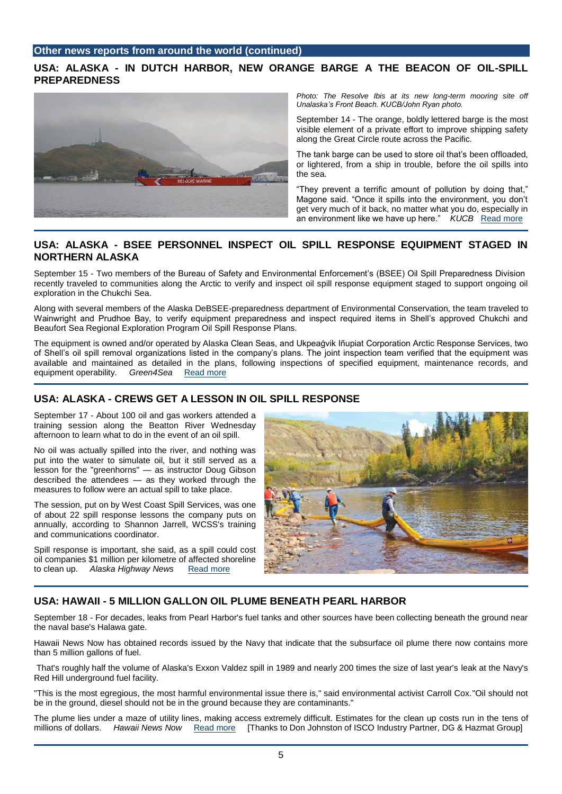# **USA: ALASKA - IN DUTCH HARBOR, NEW ORANGE BARGE A THE BEACON OF OIL-SPILL PREPAREDNESS**



**Photo: The Resolve Ibis at its new long-term mooring site off** *Unalaska's Front Beach. KUCB/John Ryan photo.*

September 14 - The orange, boldly lettered barge is the most visible element of a private effort to improve shipping safety along the Great Circle route across the Pacific.

The tank barge can be used to store oil that's been offloaded, or lightered, from a ship in trouble, before the oil spills into the sea.

"They prevent a terrific amount of pollution by doing that," Magone said. "Once it spills into the environment, you don't get very much of it back, no matter what you do, especially in an environment like we have up here." *KUCB* [Read more](http://www.alaskapublic.org/2015/09/14/in-dutch-harbor-a-new-orange-barge-is-the-beacon-of-oil-spill-preparedness/)

# **USA: ALASKA - BSEE PERSONNEL INSPECT OIL SPILL RESPONSE EQUIPMENT STAGED IN NORTHERN ALASKA**

September 15 - Two members of the Bureau of Safety and Environmental Enforcement's (BSEE) Oil Spill Preparedness Division recently traveled to communities along the Arctic to verify and inspect oil spill response equipment staged to support ongoing oil exploration in the Chukchi Sea.

Along with several members of the Alaska DeBSEE-preparedness department of Environmental Conservation, the team traveled to Wainwright and Prudhoe Bay, to verify equipment preparedness and inspect required items in Shell's approved Chukchi and Beaufort Sea Regional Exploration Program Oil Spill Response Plans.

The equipment is owned and/or operated by Alaska Clean Seas, and Ukpeaġvik Iñupiat Corporation Arctic Response Services, two of Shell's oil spill removal organizations listed in the company's plans. The joint inspection team verified that the equipment was available and maintained as detailed in the plans, following inspections of specified equipment, maintenance records, and equipment operability. *Green4Sea* [Read more](http://www.green4sea.com/bsee-personnel-inspect-oil-spill-response-equipment-staged-in-northern-alaska/)

# **USA: ALASKA - CREWS GET A LESSON IN OIL SPILL RESPONSE**

September 17 - About 100 oil and gas workers attended a training session along the Beatton River Wednesday afternoon to learn what to do in the event of an oil spill.

No oil was actually spilled into the river, and nothing was put into the water to simulate oil, but it still served as a lesson for the "greenhorns" — as instructor Doug Gibson described the attendees — as they worked through the measures to follow were an actual spill to take place.

The session, put on by West Coast Spill Services, was one of about 22 spill response lessons the company puts on annually, according to Shannon Jarrell, WCSS's training and communications coordinator.

Spill response is important, she said, as a spill could cost oil companies \$1 million per kilometre of affected shoreline to clean up. *Alaska Highway News* [Read more](http://www.alaskahighwaynews.ca/regional-news/crews-get-a-lesson-in-oil-spill-response-1.2062231)



# **USA: HAWAII - 5 MILLION GALLON OIL PLUME BENEATH PEARL HARBOR**

September 18 - For decades, leaks from Pearl Harbor's fuel tanks and other sources have been collecting beneath the ground near the naval base's Halawa gate.

Hawaii News Now has obtained records issued by the Navy that indicate that the subsurface oil plume there now contains more than 5 million gallons of fuel.

That's roughly half the volume of Alaska's Exxon Valdez spill in 1989 and nearly 200 times the size of last year's leak at the Navy's Red Hill underground fuel facility.

"This is the most egregious, the most harmful environmental issue there is," said environmental activist Carroll Cox."Oil should not be in the ground, diesel should not be in the ground because they are contaminants."

The plume lies under a maze of utility lines, making access extremely difficult. Estimates for the clean up costs run in the tens of millions of dollars. *Hawaii News Now* [Read more](http://www.hawaiinewsnow.com/story/30060416/exclusive-5-m-gallon-oil-plume-beneath-pearl-harbor) [Thanks to Don Johnston of ISCO Industry Partner, DG & Hazmat Group]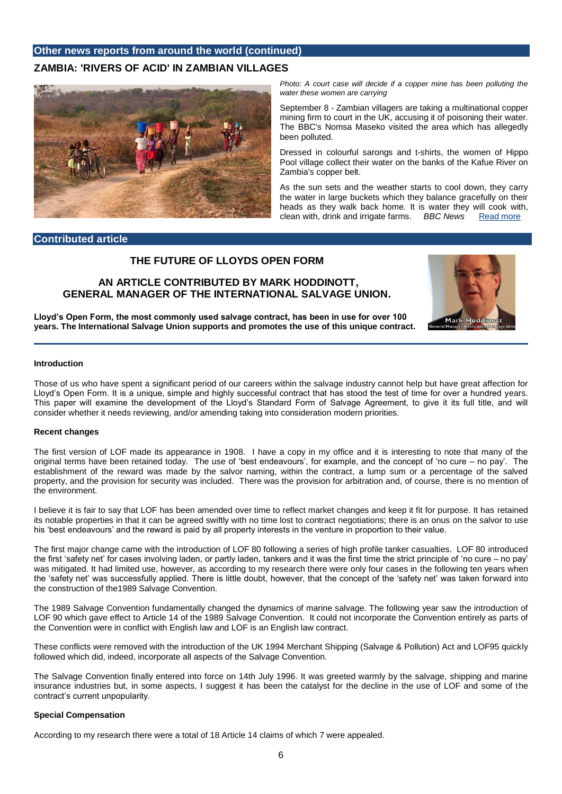### **Other news reports from around the world (continued)**

### **ZAMBIA: 'RIVERS OF ACID' IN ZAMBIAN VILLAGES**



Photo: A court case will decide if a copper mine has been polluting the *water these women are carrying*

September 8 - Zambian villagers are taking a multinational copper mining firm to court in the UK, accusing it of poisoning their water. The BBC's Nomsa Maseko visited the area which has allegedly been polluted.

Dressed in colourful sarongs and t-shirts, the women of Hippo Pool village collect their water on the banks of the Kafue River on Zambia's copper belt.

As the sun sets and the weather starts to cool down, they carry the water in large buckets which they balance gracefully on their heads as they walk back home. It is water they will cook with, clean with, drink and irrigate farms. *BBC News* [Read more](http://www.bbc.co.uk/news/world-africa-34173746)

#### **Contributed article**

# **THE FUTURE OF LLOYDS OPEN FORM**

### **AN ARTICLE CONTRIBUTED BY MARK HODDINOTT, GENERAL MANAGER OF THE INTERNATIONAL SALVAGE UNION.**



**Lloyd's Open Form, the most commonly used salvage contract, has been in use for over 100 years. The International Salvage Union supports and promotes the use of this unique contract.**

#### **Introduction**

Those of us who have spent a significant period of our careers within the salvage industry cannot help but have great affection for Lloyd's Open Form. It is a unique, simple and highly successful contract that has stood the test of time for over a hundred years. This paper will examine the development of the Lloyd's Standard Form of Salvage Agreement, to give it its full title, and will consider whether it needs reviewing, and/or amending taking into consideration modern priorities.

#### **Recent changes**

The first version of LOF made its appearance in 1908. I have a copy in my office and it is interesting to note that many of the original terms have been retained today. The use of 'best endeavours', for example, and the concept of 'no cure – no pay'. The establishment of the reward was made by the salvor naming, within the contract, a lump sum or a percentage of the salved property, and the provision for security was included. There was the provision for arbitration and, of course, there is no mention of the environment.

I believe it is fair to say that LOF has been amended over time to reflect market changes and keep it fit for purpose. It has retained its notable properties in that it can be agreed swiftly with no time lost to contract negotiations; there is an onus on the salvor to use his 'best endeavours' and the reward is paid by all property interests in the venture in proportion to their value.

The first major change came with the introduction of LOF 80 following a series of high profile tanker casualties. LOF 80 introduced the first 'safety net' for cases involving laden, or partly laden, tankers and it was the first time the strict principle of 'no cure – no pay' was mitigated. It had limited use, however, as according to my research there were only four cases in the following ten years when the 'safety net' was successfully applied. There is little doubt, however, that the concept of the 'safety net' was taken forward into the construction of the1989 Salvage Convention.

The 1989 Salvage Convention fundamentally changed the dynamics of marine salvage. The following year saw the introduction of LOF 90 which gave effect to Article 14 of the 1989 Salvage Convention. It could not incorporate the Convention entirely as parts of the Convention were in conflict with English law and LOF is an English law contract.

These conflicts were removed with the introduction of the UK 1994 Merchant Shipping (Salvage & Pollution) Act and LOF95 quickly followed which did, indeed, incorporate all aspects of the Salvage Convention.

The Salvage Convention finally entered into force on 14th July 1996. It was greeted warmly by the salvage, shipping and marine insurance industries but, in some aspects, I suggest it has been the catalyst for the decline in the use of LOF and some of the contract's current unpopularity.

#### **Special Compensation**

According to my research there were a total of 18 Article 14 claims of which 7 were appealed.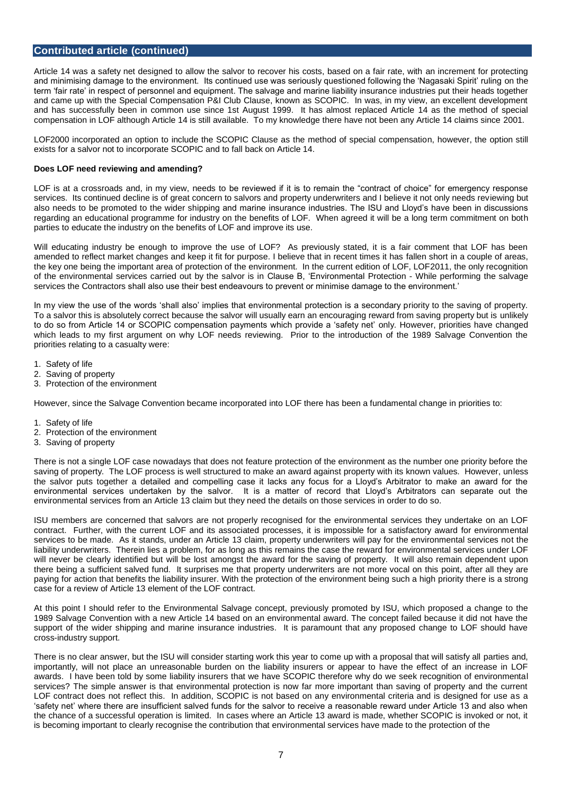#### **Contributed article (continued)**

Article 14 was a safety net designed to allow the salvor to recover his costs, based on a fair rate, with an increment for protecting and minimising damage to the environment. Its continued use was seriously questioned following the 'Nagasaki Spirit' ruling on the term 'fair rate' in respect of personnel and equipment. The salvage and marine liability insurance industries put their heads together and came up with the Special Compensation P&I Club Clause, known as SCOPIC. In was, in my view, an excellent development and has successfully been in common use since 1st August 1999. It has almost replaced Article 14 as the method of special compensation in LOF although Article 14 is still available. To my knowledge there have not been any Article 14 claims since 2001.

LOF2000 incorporated an option to include the SCOPIC Clause as the method of special compensation, however, the option still exists for a salvor not to incorporate SCOPIC and to fall back on Article 14.

#### **Does LOF need reviewing and amending?**

LOF is at a crossroads and, in my view, needs to be reviewed if it is to remain the "contract of choice" for emergency response services. Its continued decline is of great concern to salvors and property underwriters and I believe it not only needs reviewing but also needs to be promoted to the wider shipping and marine insurance industries. The ISU and Lloyd's have been in discussions regarding an educational programme for industry on the benefits of LOF. When agreed it will be a long term commitment on both parties to educate the industry on the benefits of LOF and improve its use.

Will educating industry be enough to improve the use of LOF? As previously stated, it is a fair comment that LOF has been amended to reflect market changes and keep it fit for purpose. I believe that in recent times it has fallen short in a couple of areas, the key one being the important area of protection of the environment. In the current edition of LOF, LOF2011, the only recognition of the environmental services carried out by the salvor is in Clause B, 'Environmental Protection - While performing the salvage services the Contractors shall also use their best endeavours to prevent or minimise damage to the environment.'

In my view the use of the words 'shall also' implies that environmental protection is a secondary priority to the saving of property. To a salvor this is absolutely correct because the salvor will usually earn an encouraging reward from saving property but is unlikely to do so from Article 14 or SCOPIC compensation payments which provide a 'safety net' only. However, priorities have changed which leads to my first argument on why LOF needs reviewing. Prior to the introduction of the 1989 Salvage Convention the priorities relating to a casualty were:

- 1. Safety of life
- 2. Saving of property
- 3. Protection of the environment

However, since the Salvage Convention became incorporated into LOF there has been a fundamental change in priorities to:

- 1. Safety of life
- 2. Protection of the environment
- 3. Saving of property

There is not a single LOF case nowadays that does not feature protection of the environment as the number one priority before the saving of property. The LOF process is well structured to make an award against property with its known values. However, unless the salvor puts together a detailed and compelling case it lacks any focus for a Lloyd's Arbitrator to make an award for the environmental services undertaken by the salvor. It is a matter of record that Lloyd's Arbitrators can separate out the environmental services from an Article 13 claim but they need the details on those services in order to do so.

ISU members are concerned that salvors are not properly recognised for the environmental services they undertake on an LOF contract. Further, with the current LOF and its associated processes, it is impossible for a satisfactory award for environmental services to be made. As it stands, under an Article 13 claim, property underwriters will pay for the environmental services not the liability underwriters. Therein lies a problem, for as long as this remains the case the reward for environmental services under LOF will never be clearly identified but will be lost amongst the award for the saving of property. It will also remain dependent upon there being a sufficient salved fund. It surprises me that property underwriters are not more vocal on this point, after all they are paying for action that benefits the liability insurer. With the protection of the environment being such a high priority there is a strong case for a review of Article 13 element of the LOF contract.

At this point I should refer to the Environmental Salvage concept, previously promoted by ISU, which proposed a change to the 1989 Salvage Convention with a new Article 14 based on an environmental award. The concept failed because it did not have the support of the wider shipping and marine insurance industries. It is paramount that any proposed change to LOF should have cross-industry support.

There is no clear answer, but the ISU will consider starting work this year to come up with a proposal that will satisfy all parties and, importantly, will not place an unreasonable burden on the liability insurers or appear to have the effect of an increase in LOF awards. I have been told by some liability insurers that we have SCOPIC therefore why do we seek recognition of environmental services? The simple answer is that environmental protection is now far more important than saving of property and the current LOF contract does not reflect this. In addition, SCOPIC is not based on any environmental criteria and is designed for use as a 'safety net' where there are insufficient salved funds for the salvor to receive a reasonable reward under Article 13 and also when the chance of a successful operation is limited. In cases where an Article 13 award is made, whether SCOPIC is invoked or not, it is becoming important to clearly recognise the contribution that environmental services have made to the protection of the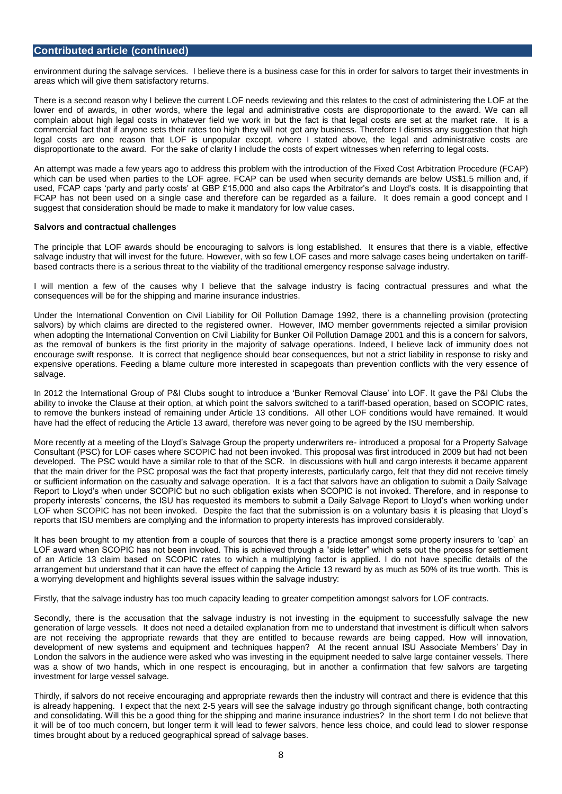#### **Contributed article (continued)**

environment during the salvage services. I believe there is a business case for this in order for salvors to target their investments in areas which will give them satisfactory returns.

There is a second reason why I believe the current LOF needs reviewing and this relates to the cost of administering the LOF at the lower end of awards, in other words, where the legal and administrative costs are disproportionate to the award. We can all complain about high legal costs in whatever field we work in but the fact is that legal costs are set at the market rate. It is a commercial fact that if anyone sets their rates too high they will not get any business. Therefore I dismiss any suggestion that high legal costs are one reason that LOF is unpopular except, where I stated above, the legal and administrative costs are disproportionate to the award. For the sake of clarity I include the costs of expert witnesses when referring to legal costs.

An attempt was made a few years ago to address this problem with the introduction of the Fixed Cost Arbitration Procedure (FCAP) which can be used when parties to the LOF agree. FCAP can be used when security demands are below US\$1.5 million and, if used, FCAP caps 'party and party costs' at GBP £15,000 and also caps the Arbitrator's and Lloyd's costs. It is disappointing that FCAP has not been used on a single case and therefore can be regarded as a failure. It does remain a good concept and I suggest that consideration should be made to make it mandatory for low value cases.

#### **Salvors and contractual challenges**

The principle that LOF awards should be encouraging to salvors is long established. It ensures that there is a viable, effective salvage industry that will invest for the future. However, with so few LOF cases and more salvage cases being undertaken on tariffbased contracts there is a serious threat to the viability of the traditional emergency response salvage industry.

I will mention a few of the causes why I believe that the salvage industry is facing contractual pressures and what the consequences will be for the shipping and marine insurance industries.

Under the International Convention on Civil Liability for Oil Pollution Damage 1992, there is a channelling provision (protecting salvors) by which claims are directed to the registered owner. However, IMO member governments rejected a similar provision when adopting the International Convention on Civil Liability for Bunker Oil Pollution Damage 2001 and this is a concern for salvors, as the removal of bunkers is the first priority in the majority of salvage operations. Indeed, I believe lack of immunity does not encourage swift response. It is correct that negligence should bear consequences, but not a strict liability in response to risky and expensive operations. Feeding a blame culture more interested in scapegoats than prevention conflicts with the very essence of salvage.

In 2012 the International Group of P&I Clubs sought to introduce a 'Bunker Removal Clause' into LOF. It gave the P&I Clubs the ability to invoke the Clause at their option, at which point the salvors switched to a tariff-based operation, based on SCOPIC rates, to remove the bunkers instead of remaining under Article 13 conditions. All other LOF conditions would have remained. It would have had the effect of reducing the Article 13 award, therefore was never going to be agreed by the ISU membership.

More recently at a meeting of the Lloyd's Salvage Group the property underwriters re- introduced a proposal for a Property Salvage Consultant (PSC) for LOF cases where SCOPIC had not been invoked. This proposal was first introduced in 2009 but had not been developed. The PSC would have a similar role to that of the SCR. In discussions with hull and cargo interests it became apparent that the main driver for the PSC proposal was the fact that property interests, particularly cargo, felt that they did not receive timely or sufficient information on the casualty and salvage operation. It is a fact that salvors have an obligation to submit a Daily Salvage Report to Lloyd's when under SCOPIC but no such obligation exists when SCOPIC is not invoked. Therefore, and in response to property interests' concerns, the ISU has requested its members to submit a Daily Salvage Report to Lloyd's when working under LOF when SCOPIC has not been invoked. Despite the fact that the submission is on a voluntary basis it is pleasing that Lloyd's reports that ISU members are complying and the information to property interests has improved considerably.

It has been brought to my attention from a couple of sources that there is a practice amongst some property insurers to 'cap' an LOF award when SCOPIC has not been invoked. This is achieved through a "side letter" which sets out the process for settlement of an Article 13 claim based on SCOPIC rates to which a multiplying factor is applied. I do not have specific details of the arrangement but understand that it can have the effect of capping the Article 13 reward by as much as 50% of its true worth. This is a worrying development and highlights several issues within the salvage industry:

Firstly, that the salvage industry has too much capacity leading to greater competition amongst salvors for LOF contracts.

Secondly, there is the accusation that the salvage industry is not investing in the equipment to successfully salvage the new generation of large vessels. It does not need a detailed explanation from me to understand that investment is difficult when salvors are not receiving the appropriate rewards that they are entitled to because rewards are being capped. How will innovation, development of new systems and equipment and techniques happen? At the recent annual ISU Associate Members' Day in London the salvors in the audience were asked who was investing in the equipment needed to salve large container vessels. There was a show of two hands, which in one respect is encouraging, but in another a confirmation that few salvors are targeting investment for large vessel salvage.

Thirdly, if salvors do not receive encouraging and appropriate rewards then the industry will contract and there is evidence that this is already happening. I expect that the next 2-5 years will see the salvage industry go through significant change, both contracting and consolidating. Will this be a good thing for the shipping and marine insurance industries? In the short term I do not believe that it will be of too much concern, but longer term it will lead to fewer salvors, hence less choice, and could lead to slower response times brought about by a reduced geographical spread of salvage bases.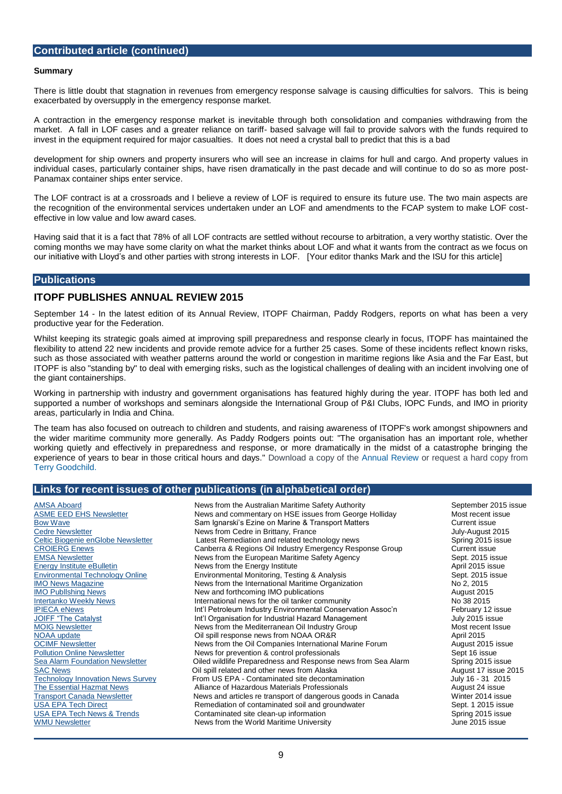#### **Contributed article (continued)**

#### **Summary**

There is little doubt that stagnation in revenues from emergency response salvage is causing difficulties for salvors. This is being exacerbated by oversupply in the emergency response market.

A contraction in the emergency response market is inevitable through both consolidation and companies withdrawing from the market. A fall in LOF cases and a greater reliance on tariff- based salvage will fail to provide salvors with the funds required to invest in the equipment required for major casualties. It does not need a crystal ball to predict that this is a bad

development for ship owners and property insurers who will see an increase in claims for hull and cargo. And property values in individual cases, particularly container ships, have risen dramatically in the past decade and will continue to do so as more post-Panamax container ships enter service.

The LOF contract is at a crossroads and I believe a review of LOF is required to ensure its future use. The two main aspects are the recognition of the environmental services undertaken under an LOF and amendments to the FCAP system to make LOF costeffective in low value and low award cases.

Having said that it is a fact that 78% of all LOF contracts are settled without recourse to arbitration, a very worthy statistic. Over the coming months we may have some clarity on what the market thinks about LOF and what it wants from the contract as we focus on our initiative with Lloyd's and other parties with strong interests in LOF. [Your editor thanks Mark and the ISU for this article]

#### **Publications**

#### **ITOPF PUBLISHES ANNUAL REVIEW 2015**

September 14 - In the latest edition of its Annual Review, ITOPF Chairman, Paddy Rodgers, reports on what has been a very productive year for the Federation.

Whilst keeping its strategic goals aimed at improving spill preparedness and response clearly in focus, ITOPF has maintained the flexibility to attend 22 new incidents and provide remote advice for a further 25 cases. Some of these incidents reflect known risks, such as those associated with weather patterns around the world or congestion in maritime regions like Asia and the Far East, but ITOPF is also "standing by" to deal with emerging risks, such as the logistical challenges of dealing with an incident involving one of the giant containerships.

Working in partnership with industry and government organisations has featured highly during the year. ITOPF has both led and supported a number of workshops and seminars alongside the International Group of P&I Clubs, IOPC Funds, and IMO in priority areas, particularly in India and China.

The team has also focused on outreach to children and students, and raising awareness of ITOPF's work amongst shipowners and the wider maritime community more generally. As Paddy Rodgers points out: "The organisation has an important role, whether working quietly and effectively in preparedness and response, or more dramatically in the midst of a catastrophe bringing the experience of years to bear in those critical hours and days." Download a copy of the [Annual Review](http://www.itopf.com/fileadmin/data/Documents/Company_Lit/Annual_Review_2015_FINAL.pdf) or request a hard copy from [Terry Goodchild.](javascript:linkTo_UnCryptMailto()

#### **Links for recent issues of other publications (in alphabetical order)**

[AMSA Aboard](http://amsa.gov.au/forms-and-publications/about-amsa/publications/AMSA-Aboard/2015-Sept/index.asp) **Australian Maritime Safety Authority** September 2015 issue<br>
ASME EED EHS Newsletter **News and commentary on HSE issues from George Holliday** Most recent issue [ASME EED EHS Newsletter](https://community.asme.org/environmental_engineering_division/b/weblog/default.aspx) **News and commentary on HSE issues from George Holliday** Most recent issue<br>
Bow Wave Current issue<br>
Current issue Sam Ignarski's Ezine on Marine & Transport Matters Current issue [Cedre Newsletter](http://wwz.cedre.fr/en/Our-resources/Documentation/Cedre-Newsletter) Mewsletter News from Cedre in Brittany, France<br>Celtic Biogenie enGlobe Newsletter Latest Remediation and related technology news Spring 2015 issue Latest Remediation and related technology news [CROIERG Enews](http://www.croierg.com.au/) Canberra & Regions Oil Industry Emergency Response Group Current issue [EMSA Newsletter](http://www.emsa.europa.eu/index.php?option=com_flexicontent&view=item&cid=230:newsletters&id=2471:newsletter-september-2015&Itemid=272) **News from the European Maritime Safety Agency** Sept. 2015 issue [Energy Institute eBulletin](http://energyinstnews.org/rp/303/process.clsp?EmailId=225184&Token=21862657694C8D2F3172C2BCB14F86F0C) **Energy Institute Community** News from the Energy Institute April 2015 issue<br>
Environmental Technology Online **Community Environmental Monitoring** Testing & Analysis **Environmental Technology Onl** [Environmental Technology Online](http://www.envirotech-online.com/ebulletin/2015/9/2/html-live/) **Environmental Monitoring, Testing & Analysis** [IMO News Magazine](http://issuu.com/imo-news/docs/imo-38_imo_news_2_2015_hr2) **IMO News From the International Maritime Organization** No 2, 2015<br>IMO Publishing News **New and forthcoming IMO publications** August 2015 New and forthcoming IMO publications [Intertanko Weekly News](http://www.intertanko.com/News-Desk/Weekly-News/Year-2015/No-38-2015---18-Sept/No-38-2015/) **International news for the oil tanker community** No 38 2015 [IPIECA eNews](http://us6.campaign-archive2.com/?u=9ca74cd088b6e6be85d09adff&id=d1208cb7f9&e=95ec356fd3)<br>
Int'l Petroleum Industry Environmental Conservation Assoc'n February 12 issue<br>
Int'l Organisation for Industrial Hazard Management July 2015 issue [JOIFF "The Catalyst](http://joiff.com/wp-content/uploads/2015/06/July_2015.pdf) Int'l Organisation for Industrial Hazard Management<br>Int'l Organisation for Industrial Hazard Management Industry Group News from the Mediterranean Oil Industry Group Most recent Issue<br>
Oil spill response news from NOAA OR&R April 2015 [NOAA update](http://campaign.r20.constantcontact.com/render?ca=c481f324-2fa2-418b-b99d-811ec6464222&c=0a0f83e0-e3cc-11e4-9866-d4ae529a863c&ch=0a1c2e10-e3cc-11e4-9867-d4ae529a863c) **Note that Collect Collect April 2015**<br>
OCIMF Newsletter **Oil Servest Society Access News** from the Oil Companies International Marine Forum **August 2015** issue [OCIMF Newsletter](http://newsletters.mijim.com/t/ViewEmail/r/06265864903C6B4D2540EF23F30FEDED/0177A207B6255F7EF99AA49ED5AF8B9E) News from the Oil Companies International Marine Forum [Pollution Online Newsletter](http://www.pollutiononline.com/doc/models-for-predicting-source-water-pollution-hopelessly-flawed-0002?user=2116810) Newsletter News for prevention & control professionals Sept 16 issue<br>
<u>Sea Alarm Foundation Newsletter</u> Colled wildlife Preparedness and Response news from Sea Alarm Spring 2015 is Oiled wildlife Preparedness and Response news from Sea Alarm Spring 2015 issue [SAC News](http://www.pwsrcac.net/committees/sac/documents/SAC.Vol12.Issue11.pdf) **SAC News Cill spill related and other news from Alaska** August 17 issue 2015 [Technology Innovation News Survey](https://clu-in.org/products/tins/) From US EPA - Contaminated site decontamination July 16 - 31 2015 [The Essential Hazmat News](http://www.infoinc.com/AHMP/082415.html) **Alliance of Hazardous Materials Professionals** August 24 issue<br> **Transport Canada Newsletter** News and articles re transport of dangerous goods in Canada **Municial Canada** Winter 2014 issue [Transport Canada Newsletter](http://www.tc.gc.ca/eng/tdg/newsletter-fall-2014-1215.html) **News and articles re transport of dangerous goods in Canada** Winter 2014 issue<br>
VSA EPA Tech Direct **Newsletter** Remediation of contaminated soil and groundwater **Sept. 1 2015** issue Remediation of contaminated soil and groundwater [USA EPA Tech News & Trends](http://cluin.org/products/newsltrs/tnandt/view_new.cfm?issue=0515.cfm) **Contaminated site clean-up information** Contaminated site clean-up information<br>
Spring 2015 issue Spring 2015 issue Spring 2015 issue Spring 2015 issue [WMU Newsletter](http://us5.campaign-archive1.com/?u=31bd53a834236bf0cb264d9ca&id=7e422bddf2&e=94cd12deef) News from the World Maritime University